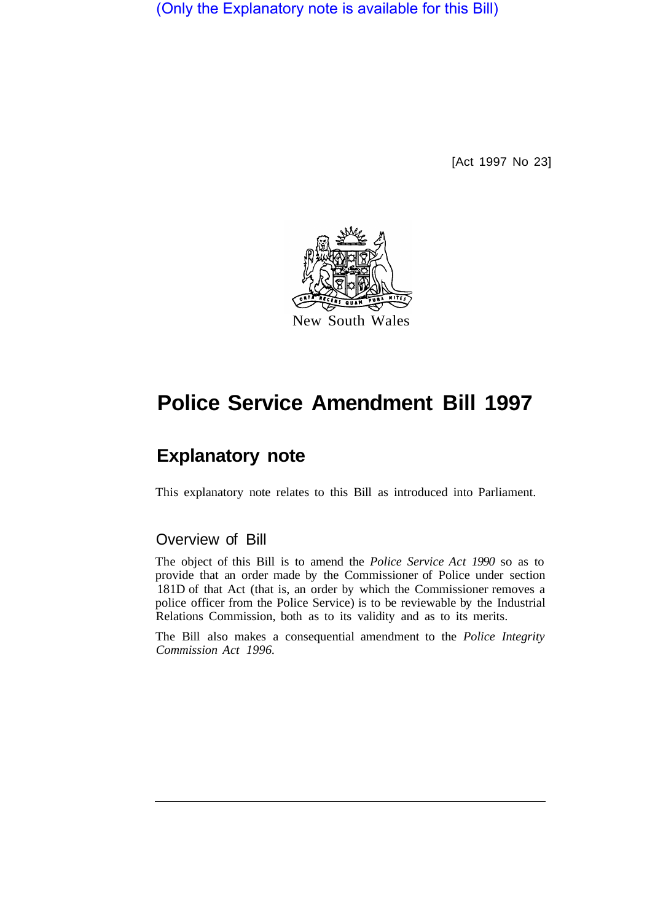(Only the Explanatory note is available for this Bill)

[Act 1997 No 23]



# **Police Service Amendment Bill 1997**

# **Explanatory note**

This explanatory note relates to this Bill as introduced into Parliament.

### Overview of Bill

The object of this Bill is to amend the *Police Service Act 1990* so as to provide that an order made by the Commissioner of Police under section 181D of that Act (that is, an order by which the Commissioner removes a police officer from the Police Service) is to be reviewable by the Industrial Relations Commission, both as to its validity and as to its merits.

The Bill also makes a consequential amendment to the *Police Integrity Commission Act 1996.*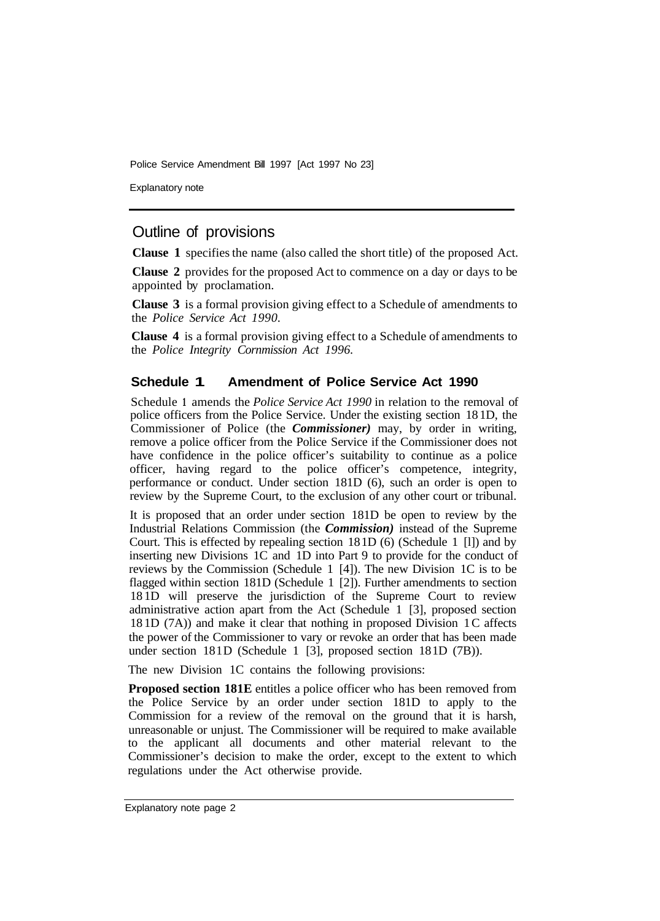Police Service Amendment Bill 1997 [Act 1997 No 23]

Explanatory note

## Outline of provisions

**Clause 1** specifies the name (also called the short title) of the proposed Act.

**Clause 2** provides for the proposed Act to commence on a day or days to be appointed by proclamation.

**Clause 3** is a formal provision giving effect to a Schedule of amendments to the *Police Service Act 1990.* 

**Clause 4** is a formal provision giving effect to a Schedule of amendments to the *Police Integrity Cornmission Act 1996.* 

#### **Schedule 1 Amendment of Police Service Act 1990**

Schedule **1** amends the *Police Service Act 1990* in relation to the removal of police officers from the Police Service. Under the existing section 18 1D, the Commissioner of Police (the *Commissioner)* may, by order in writing, remove a police officer from the Police Service if the Commissioner does not have confidence in the police officer's suitability to continue as a police officer, having regard to the police officer's competence, integrity, performance or conduct. Under section 181D (6), such an order is open to review by the Supreme Court, to the exclusion of any other court or tribunal.

It is proposed that an order under section 181D be open to review by the Industrial Relations Commission (the *Commission)* instead of the Supreme Court. This is effected by repealing section 18 1D (6) (Schedule 1 [l]) and by inserting new Divisions 1C and 1D into Part 9 to provide for the conduct of reviews by the Commission (Schedule 1 [4]). The new Division 1C is to be flagged within section 181D (Schedule 1 [2]). Further amendments to section 18 1D will preserve the jurisdiction of the Supreme Court to review administrative action apart from the Act (Schedule 1 [3], proposed section 18 1D (7A)) and make it clear that nothing in proposed Division 1 C affects the power of the Commissioner to vary or revoke an order that has been made under section  $181D$  (Schedule 1 [3], proposed section  $181D$  (7B)).

The new Division 1C contains the following provisions:

**Proposed section 181E** entitles a police officer who has been removed from the Police Service by an order under section 181D to apply to the Commission for a review of the removal on the ground that it is harsh, unreasonable or unjust. The Commissioner will be required to make available to the applicant all documents and other material relevant to the Commissioner's decision to make the order, except to the extent to which regulations under the Act otherwise provide.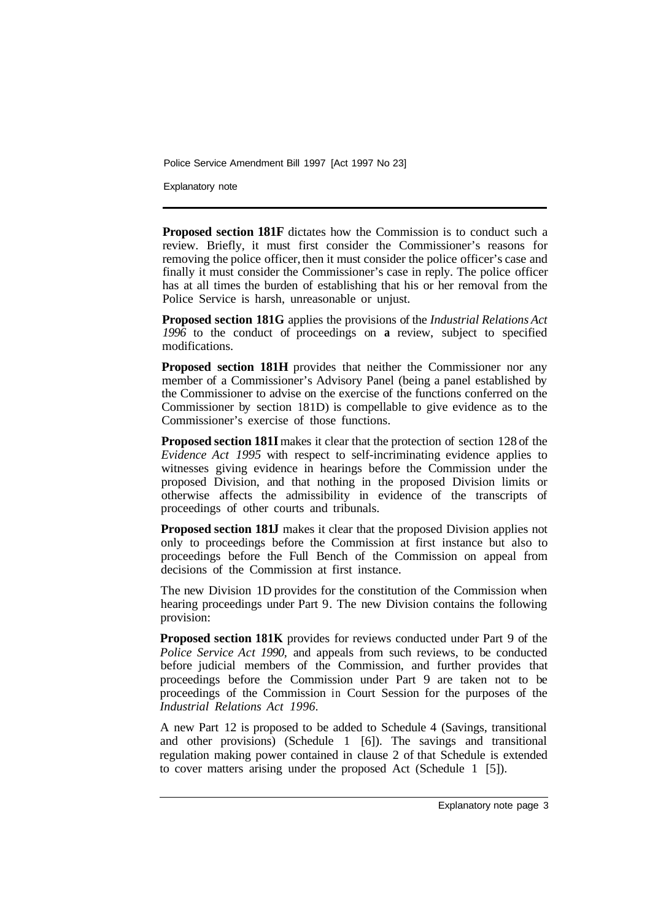Police Service Amendment Bill 1997 [Act 1997 No 23]

Explanatory note

**Proposed section 181F** dictates how the Commission is to conduct such a review. Briefly, it must first consider the Commissioner's reasons for removing the police officer, then it must consider the police officer's case and finally it must consider the Commissioner's case in reply. The police officer has at all times the burden of establishing that his or her removal from the Police Service is harsh, unreasonable or unjust.

**Proposed section 181G** applies the provisions of the *Industrial Relations Act 1996* to the conduct of proceedings on **a** review, subject to specified modifications.

**Proposed section 181H** provides that neither the Commissioner nor any member of a Commissioner's Advisory Panel (being a panel established by the Commissioner to advise on the exercise of the functions conferred on the Commissioner by section 181D) is compellable to give evidence as to the Commissioner's exercise of those functions.

**Proposed section 181I** makes it clear that the protection of section 128 of the *Evidence Act 1995* with respect to self-incriminating evidence applies to witnesses giving evidence in hearings before the Commission under the proposed Division, and that nothing in the proposed Division limits or otherwise affects the admissibility in evidence of the transcripts of proceedings of other courts and tribunals.

**Proposed section 181J** makes it clear that the proposed Division applies not only to proceedings before the Commission at first instance but also to proceedings before the Full Bench of the Commission on appeal from decisions of the Commission at first instance.

The new Division 1D provides for the constitution of the Commission when hearing proceedings under Part 9. The new Division contains the following provision:

**Proposed section 181K** provides for reviews conducted under Part 9 of the *Police Service Act 1990,* and appeals from such reviews, to be conducted before judicial members of the Commission, and further provides that proceedings before the Commission under Part 9 are taken not to be proceedings of the Commission in Court Session for the purposes of the *Industrial Relations Act 1996.* 

A new Part 12 is proposed to be added to Schedule 4 (Savings, transitional and other provisions) (Schedule 1 [6]). The savings and transitional regulation making power contained in clause 2 of that Schedule is extended to cover matters arising under the proposed Act (Schedule 1 [5]).